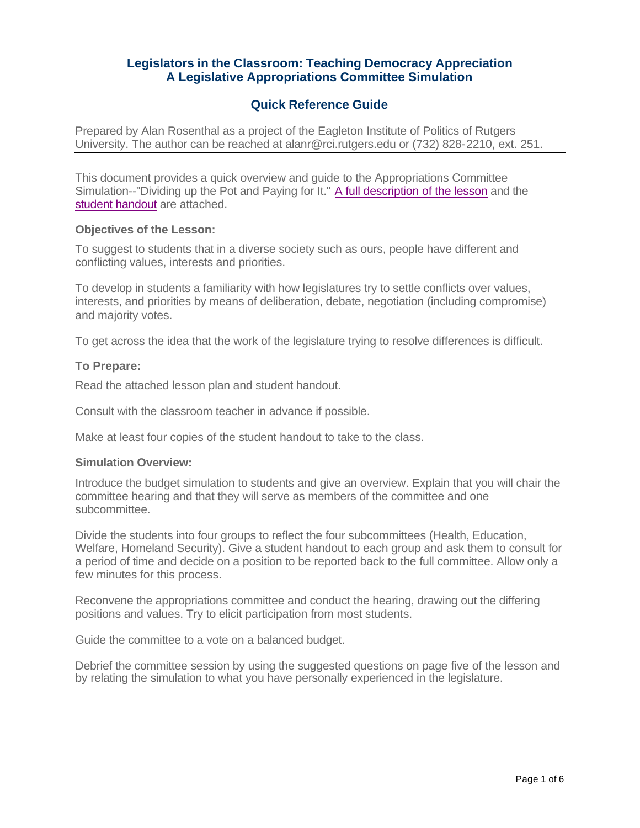# **Legislators in the Classroom: Teaching Democracy Appreciation A Legislative Appropriations Committee Simulation**

## **Quick Reference Guide**

Prepared by Alan Rosenthal as a project of the Eagleton Institute of Politics of Rutgers University. The author can be reached at alanr@rci.rutgers.edu or (732) 828-2210, ext. 251.

This document provides a quick overview and guide to the Appropriations Committee Simulation--"Dividing up the Pot and Paying for It." A full description of the lesson and the student handout are attached.

#### **Objectives of the Lesson:**

To suggest to students that in a diverse society such as ours, people have different and conflicting values, interests and priorities.

To develop in students a familiarity with how legislatures try to settle conflicts over values, interests, and priorities by means of deliberation, debate, negotiation (including compromise) and majority votes.

To get across the idea that the work of the legislature trying to resolve differences is difficult.

### **To Prepare:**

Read the attached lesson plan and student handout.

Consult with the classroom teacher in advance if possible.

Make at least four copies of the student handout to take to the class.

#### **Simulation Overview:**

Introduce the budget simulation to students and give an overview. Explain that you will chair the committee hearing and that they will serve as members of the committee and one subcommittee.

Divide the students into four groups to reflect the four subcommittees (Health, Education, Welfare, Homeland Security). Give a student handout to each group and ask them to consult for a period of time and decide on a position to be reported back to the full committee. Allow only a few minutes for this process.

Reconvene the appropriations committee and conduct the hearing, drawing out the differing positions and values. Try to elicit participation from most students.

Guide the committee to a vote on a balanced budget.

Debrief the committee session by using the suggested questions on page five of the lesson and by relating the simulation to what you have personally experienced in the legislature.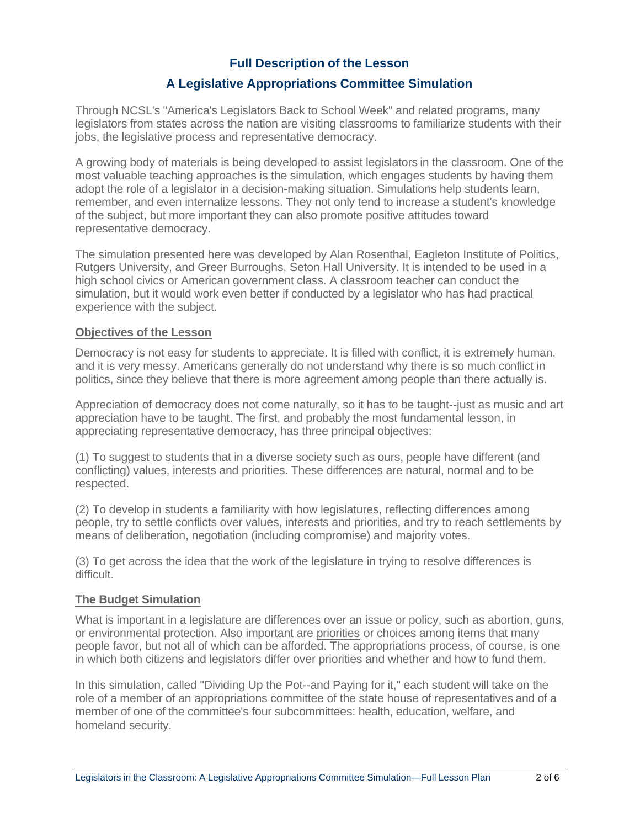# **Full Description of the Lesson**

# **A Legislative Appropriations Committee Simulation**

Through NCSL's "America's Legislators Back to School Week" and related programs, many legislators from states across the nation are visiting classrooms to familiarize students with their jobs, the legislative process and representative democracy.

A growing body of materials is being developed to assist legislators in the classroom. One of the most valuable teaching approaches is the simulation, which engages students by having them adopt the role of a legislator in a decision-making situation. Simulations help students learn, remember, and even internalize lessons. They not only tend to increase a student's knowledge of the subject, but more important they can also promote positive attitudes toward representative democracy.

The simulation presented here was developed by Alan Rosenthal, Eagleton Institute of Politics, Rutgers University, and Greer Burroughs, Seton Hall University. It is intended to be used in a high school civics or American government class. A classroom teacher can conduct the simulation, but it would work even better if conducted by a legislator who has had practical experience with the subject.

#### **Objectives of the Lesson**

Democracy is not easy for students to appreciate. It is filled with conflict, it is extremely human, and it is very messy. Americans generally do not understand why there is so much conflict in politics, since they believe that there is more agreement among people than there actually is.

Appreciation of democracy does not come naturally, so it has to be taught--just as music and art appreciation have to be taught. The first, and probably the most fundamental lesson, in appreciating representative democracy, has three principal objectives:

(1) To suggest to students that in a diverse society such as ours, people have different (and conflicting) values, interests and priorities. These differences are natural, normal and to be respected.

(2) To develop in students a familiarity with how legislatures, reflecting differences among people, try to settle conflicts over values, interests and priorities, and try to reach settlements by means of deliberation, negotiation (including compromise) and majority votes.

(3) To get across the idea that the work of the legislature in trying to resolve differences is difficult.

#### **The Budget Simulation**

What is important in a legislature are differences over an issue or policy, such as abortion, guns, or environmental protection. Also important are priorities or choices among items that many people favor, but not all of which can be afforded. The appropriations process, of course, is one in which both citizens and legislators differ over priorities and whether and how to fund them.

In this simulation, called "Dividing Up the Pot--and Paying for it," each student will take on the role of a member of an appropriations committee of the state house of representatives and of a member of one of the committee's four subcommittees: health, education, welfare, and homeland security.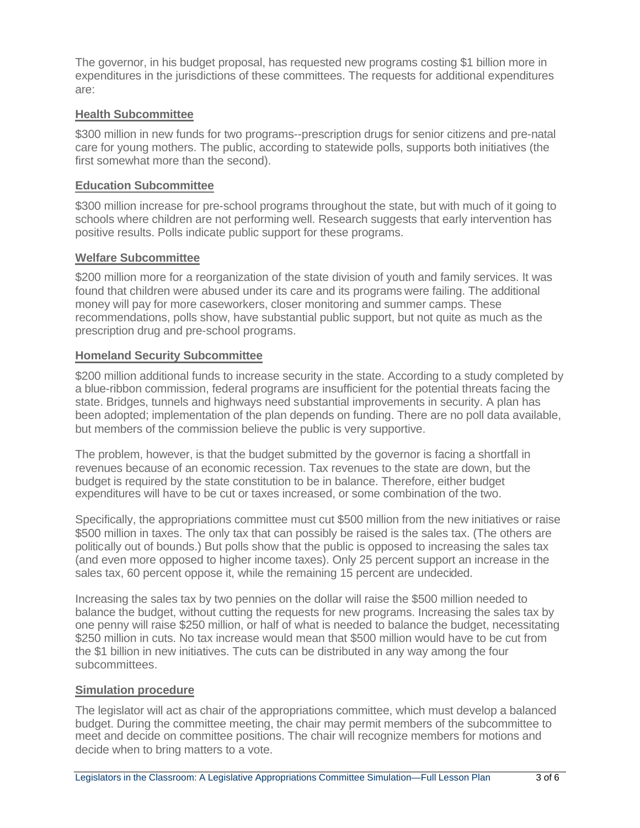The governor, in his budget proposal, has requested new programs costing \$1 billion more in expenditures in the jurisdictions of these committees. The requests for additional expenditures are:

## **Health Subcommittee**

\$300 million in new funds for two programs--prescription drugs for senior citizens and pre-natal care for young mothers. The public, according to statewide polls, supports both initiatives (the first somewhat more than the second).

### **Education Subcommittee**

\$300 million increase for pre-school programs throughout the state, but with much of it going to schools where children are not performing well. Research suggests that early intervention has positive results. Polls indicate public support for these programs.

## **Welfare Subcommittee**

\$200 million more for a reorganization of the state division of youth and family services. It was found that children were abused under its care and its programs were failing. The additional money will pay for more caseworkers, closer monitoring and summer camps. These recommendations, polls show, have substantial public support, but not quite as much as the prescription drug and pre-school programs.

## **Homeland Security Subcommittee**

\$200 million additional funds to increase security in the state. According to a study completed by a blue-ribbon commission, federal programs are insufficient for the potential threats facing the state. Bridges, tunnels and highways need substantial improvements in security. A plan has been adopted; implementation of the plan depends on funding. There are no poll data available, but members of the commission believe the public is very supportive.

The problem, however, is that the budget submitted by the governor is facing a shortfall in revenues because of an economic recession. Tax revenues to the state are down, but the budget is required by the state constitution to be in balance. Therefore, either budget expenditures will have to be cut or taxes increased, or some combination of the two.

Specifically, the appropriations committee must cut \$500 million from the new initiatives or raise \$500 million in taxes. The only tax that can possibly be raised is the sales tax. (The others are politically out of bounds.) But polls show that the public is opposed to increasing the sales tax (and even more opposed to higher income taxes). Only 25 percent support an increase in the sales tax, 60 percent oppose it, while the remaining 15 percent are undecided.

Increasing the sales tax by two pennies on the dollar will raise the \$500 million needed to balance the budget, without cutting the requests for new programs. Increasing the sales tax by one penny will raise \$250 million, or half of what is needed to balance the budget, necessitating \$250 million in cuts. No tax increase would mean that \$500 million would have to be cut from the \$1 billion in new initiatives. The cuts can be distributed in any way among the four subcommittees.

## **Simulation procedure**

The legislator will act as chair of the appropriations committee, which must develop a balanced budget. During the committee meeting, the chair may permit members of the subcommittee to meet and decide on committee positions. The chair will recognize members for motions and decide when to bring matters to a vote.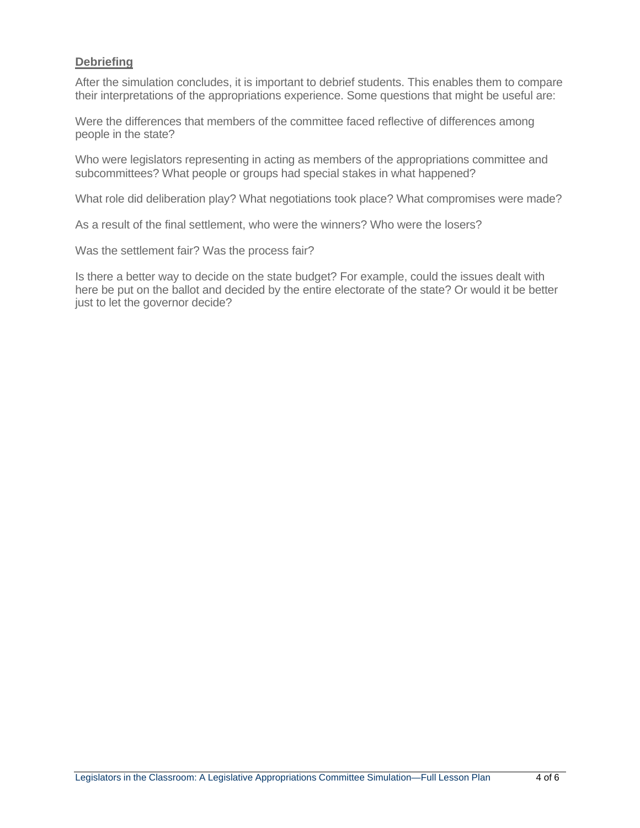### **Debriefing**

After the simulation concludes, it is important to debrief students. This enables them to compare their interpretations of the appropriations experience. Some questions that might be useful are:

Were the differences that members of the committee faced reflective of differences among people in the state?

Who were legislators representing in acting as members of the appropriations committee and subcommittees? What people or groups had special stakes in what happened?

What role did deliberation play? What negotiations took place? What compromises were made?

As a result of the final settlement, who were the winners? Who were the losers?

Was the settlement fair? Was the process fair?

Is there a better way to decide on the state budget? For example, could the issues dealt with here be put on the ballot and decided by the entire electorate of the state? Or would it be better just to let the governor decide?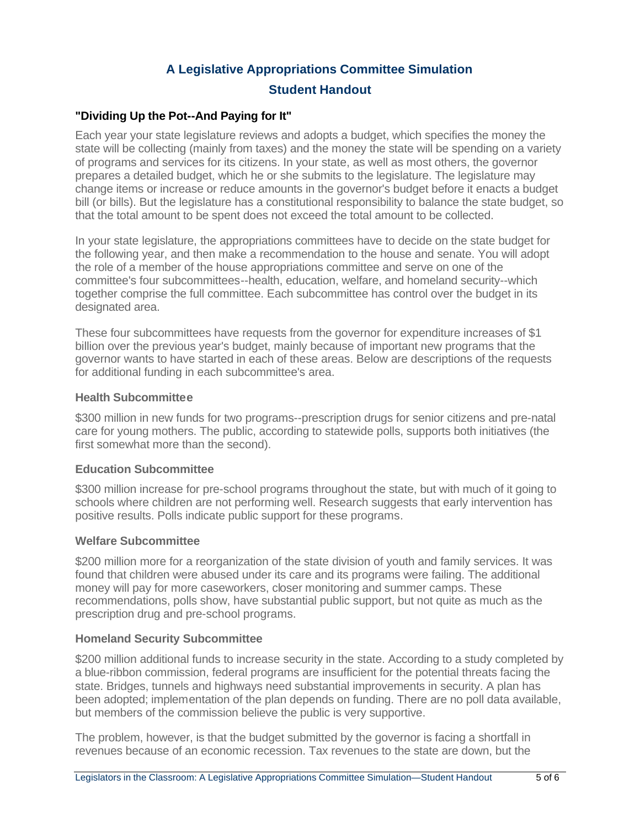# **A Legislative Appropriations Committee Simulation Student Handout**

### **"Dividing Up the Pot--And Paying for It"**

Each year your state legislature reviews and adopts a budget, which specifies the money the state will be collecting (mainly from taxes) and the money the state will be spending on a variety of programs and services for its citizens. In your state, as well as most others, the governor prepares a detailed budget, which he or she submits to the legislature. The legislature may change items or increase or reduce amounts in the governor's budget before it enacts a budget bill (or bills). But the legislature has a constitutional responsibility to balance the state budget, so that the total amount to be spent does not exceed the total amount to be collected.

In your state legislature, the appropriations committees have to decide on the state budget for the following year, and then make a recommendation to the house and senate. You will adopt the role of a member of the house appropriations committee and serve on one of the committee's four subcommittees--health, education, welfare, and homeland security--which together comprise the full committee. Each subcommittee has control over the budget in its designated area.

These four subcommittees have requests from the governor for expenditure increases of \$1 billion over the previous year's budget, mainly because of important new programs that the governor wants to have started in each of these areas. Below are descriptions of the requests for additional funding in each subcommittee's area.

#### **Health Subcommittee**

\$300 million in new funds for two programs--prescription drugs for senior citizens and pre-natal care for young mothers. The public, according to statewide polls, supports both initiatives (the first somewhat more than the second).

### **Education Subcommittee**

\$300 million increase for pre-school programs throughout the state, but with much of it going to schools where children are not performing well. Research suggests that early intervention has positive results. Polls indicate public support for these programs.

### **Welfare Subcommittee**

\$200 million more for a reorganization of the state division of youth and family services. It was found that children were abused under its care and its programs were failing. The additional money will pay for more caseworkers, closer monitoring and summer camps. These recommendations, polls show, have substantial public support, but not quite as much as the prescription drug and pre-school programs.

### **Homeland Security Subcommittee**

\$200 million additional funds to increase security in the state. According to a study completed by a blue-ribbon commission, federal programs are insufficient for the potential threats facing the state. Bridges, tunnels and highways need substantial improvements in security. A plan has been adopted; implementation of the plan depends on funding. There are no poll data available, but members of the commission believe the public is very supportive.

The problem, however, is that the budget submitted by the governor is facing a shortfall in revenues because of an economic recession. Tax revenues to the state are down, but the